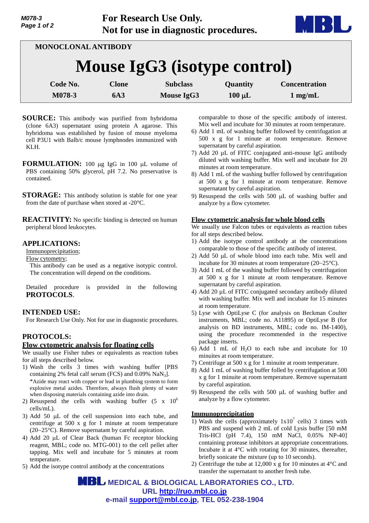

| MONOCLONAL ANTIBODY          |                            |                               |                         |                                           |  |
|------------------------------|----------------------------|-------------------------------|-------------------------|-------------------------------------------|--|
| Mouse IgG3 (isotype control) |                            |                               |                         |                                           |  |
| Code No.<br>M078-3           | <b>Clone</b><br><b>6A3</b> | <b>Subclass</b><br>Mouse IgG3 | Quantity<br>$100 \mu L$ | <b>Concentration</b><br>$1 \text{ mg/mL}$ |  |

- **SOURCE:** This antibody was purified from hybridoma (clone 6A3) supernatant using protein A agarose. This hybridoma was established by fusion of mouse myeloma cell P3U1 with Balb/c mouse lymphnodes immunized with KLH.
- **FORMULATION:** 100 µg IgG in 100 µL volume of PBS containing 50% glycerol, pH 7.2. No preservative is contained.

**STORAGE:** This antibody solution is stable for one year from the date of purchase when stored at -20°C.

**REACTIVITY:** No specific binding is detected on human peripheral blood leukocytes.

## **APPLICATIONS:**

Immunoprecipitation;

Flow cytometry;

This antibody can be used as a negative isotypic control. The concentration will depend on the conditions.

Detailed procedure is provided in the following **PROTOCOLS**.

### **INTENDED USE:**

For Research Use Only. Not for use in diagnostic procedures.

# **PROTOCOLS:**

#### **Flow cytometric analysis for floating cells**

We usually use Fisher tubes or equivalents as reaction tubes for all steps described below.

- 1) Wash the cells 3 times with washing buffer [PBS containing 2% fetal calf serum (FCS) and  $0.09\%$  NaN<sub>3</sub>]. \*Azide may react with copper or lead in plumbing system to form explosive metal azides. Therefore, always flush plenty of water when disposing materials containing azide into drain.
- 2) Resuspend the cells with washing buffer  $(5 \times 10^6$ cells/mL).
- 3) Add 50  $\mu$ L of the cell suspension into each tube, and centrifuge at 500 x g for 1 minute at room temperature (20~25°C). Remove supernatant by careful aspiration.
- 4) Add 20  $\mu$ L of Clear Back (human Fc receptor blocking reagent, MBL; code no. MTG-001) to the cell pellet after tapping. Mix well and incubate for 5 minutes at room temperature.
- 5) Add the isotype control antibody at the concentrations

comparable to those of the specific antibody of interest. Mix well and incubate for 30 minutes at room temperature.

- 6) Add 1 mL of washing buffer followed by centrifugation at 500 x g for 1 minute at room temperature. Remove supernatant by careful aspiration.
- 7) Add 20 µL of FITC conjugated anti-mouse IgG antibody diluted with washing buffer. Mix well and incubate for 20 minutes at room temperature.
- 8) Add 1 mL of the washing buffer followed by centrifugation at 500 x g for 1 minute at room temperature. Remove supernatant by careful aspiration.
- 9) Resuspend the cells with 500  $\mu$ L of washing buffer and analyze by a flow cytometer.

#### **Flow cytometric analysis for whole blood cells**

We usually use Falcon tubes or equivalents as reaction tubes for all steps described below.

- 1) Add the isotype control antibody at the concentrations comparable to those of the specific antibody of interest.
- 2) Add 50  $\mu$ L of whole blood into each tube. Mix well and incubate for 30 minutes at room temperature (20~25°C).
- 3) Add 1 mL of the washing buffer followed by centrifugation at 500 x g for 1 minute at room temperature. Remove supernatant by careful aspiration.
- 4) Add 20 µL of FITC conjugated secondary antibody diluted with washing buffer. Mix well and incubate for 15 minutes at room temperature.
- 5) Lyse with OptiLyse C (for analysis on Beckman Coulter instruments, MBL; code no. A11895) or OptiLyse B (for analysis on BD instruments, MBL; code no. IM-1400), using the procedure recommended in the respective package inserts.
- 6) Add 1 mL of  $H_2O$  to each tube and incubate for 10 minuites at room temperature.
- 7) Centrifuge at 500 x g for 1 minuite at room temperature.
- 8) Add 1 mL of washing buffer folled by centrifugation at 500 x g for 1 minuite at room temperature. Remove supernatant by careful aspiration.
- 9) Resuspend the cells with  $500 \mu L$  of washing buffer and analyze by a flow cytometer.

#### **Immunoprecipitation**

- 1) Wash the cells (approximately  $1x10^7$  cells) 3 times with PBS and suspend with 2 mL of cold Lysis buffer [50 mM Tris-HCl (pH 7.4), 150 mM NaCl, 0.05% NP-40] containing protease inhibitors at appropriate concentrations. Incubate it at 4°C with rotating for 30 minutes, thereafter, briefly sonicate the mixture (up to 10 seconds).
- 2) Centrifuge the tube at 12,000 x g for 10 minutes at 4°C and transfer the supernatant to another fresh tube.

 **MEDICAL & BIOLOGICAL LABORATORIES CO., LTD. URL <http://ruo.mbl.co.jp> e-mail [support@mbl.co.jp,](mailto:support@mbl.co.jp) TEL 052-238-1904**